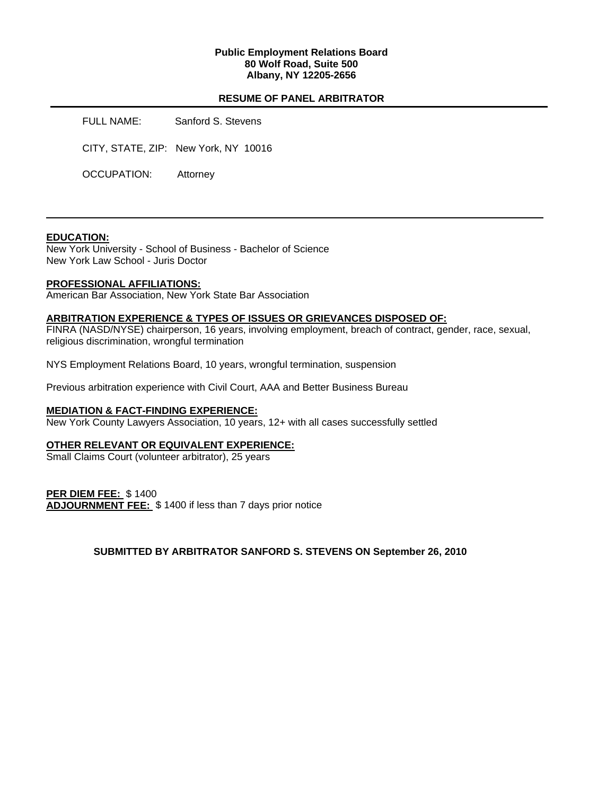### **Public Employment Relations Board 80 Wolf Road, Suite 500 Albany, NY 12205-2656**

## **RESUME OF PANEL ARBITRATOR**

FULL NAME: Sanford S. Stevens

CITY, STATE, ZIP: New York, NY 10016

OCCUPATION: Attorney

### **EDUCATION:**

New York University - School of Business - Bachelor of Science New York Law School - Juris Doctor

### **PROFESSIONAL AFFILIATIONS:**

American Bar Association, New York State Bar Association

#### **ARBITRATION EXPERIENCE & TYPES OF ISSUES OR GRIEVANCES DISPOSED OF:**

FINRA (NASD/NYSE) chairperson, 16 years, involving employment, breach of contract, gender, race, sexual, religious discrimination, wrongful termination

NYS Employment Relations Board, 10 years, wrongful termination, suspension

Previous arbitration experience with Civil Court, AAA and Better Business Bureau

#### **MEDIATION & FACT-FINDING EXPERIENCE:**

New York County Lawyers Association, 10 years, 12+ with all cases successfully settled

#### **OTHER RELEVANT OR EQUIVALENT EXPERIENCE:**

Small Claims Court (volunteer arbitrator), 25 years

**PER DIEM FEE:** \$ 1400 **ADJOURNMENT FEE:** \$ 1400 if less than 7 days prior notice

**SUBMITTED BY ARBITRATOR SANFORD S. STEVENS ON September 26, 2010**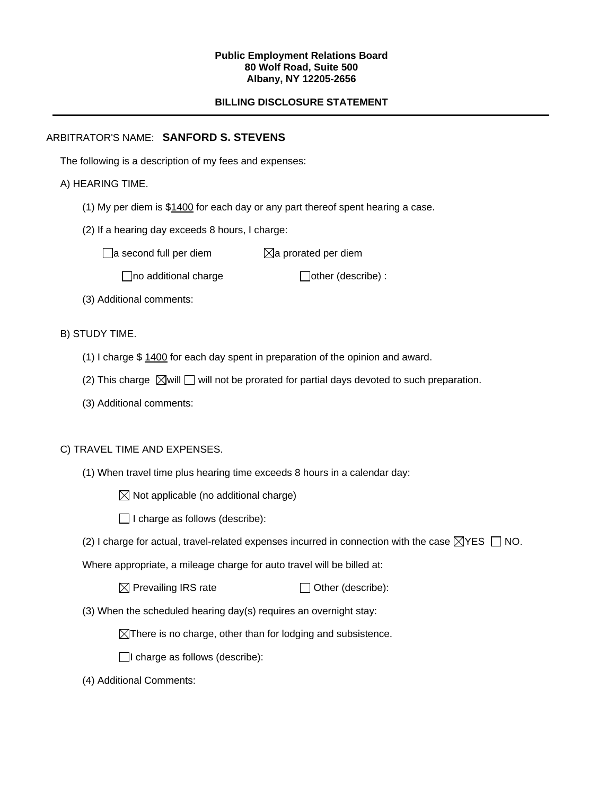#### **Public Employment Relations Board 80 Wolf Road, Suite 500 Albany, NY 12205-2656**

# **BILLING DISCLOSURE STATEMENT**

# ARBITRATOR'S NAME: **SANFORD S. STEVENS**

The following is a description of my fees and expenses:

# A) HEARING TIME.

- (1) My per diem is \$1400 for each day or any part thereof spent hearing a case.
- (2) If a hearing day exceeds 8 hours, I charge:

 $\Box$ a second full per diem  $\boxtimes$ a prorated per diem

 $\Box$ no additional charge  $\Box$ other (describe) :

(3) Additional comments:

B) STUDY TIME.

- (1) I charge \$ 1400 for each day spent in preparation of the opinion and award.
- (2) This charge  $\boxtimes$  will  $\Box$  will not be prorated for partial days devoted to such preparation.
- (3) Additional comments:

## C) TRAVEL TIME AND EXPENSES.

- (1) When travel time plus hearing time exceeds 8 hours in a calendar day:
	- $\boxtimes$  Not applicable (no additional charge)
	- $\Box$  I charge as follows (describe):
- (2) I charge for actual, travel-related expenses incurred in connection with the case  $\boxtimes$ YES  $\Box$  NO.

Where appropriate, a mileage charge for auto travel will be billed at:

 $\boxtimes$  Prevailing IRS rate  $\Box$  Other (describe):

(3) When the scheduled hearing day(s) requires an overnight stay:

 $\boxtimes$ There is no charge, other than for lodging and subsistence.

 $\Box$ I charge as follows (describe):

(4) Additional Comments: